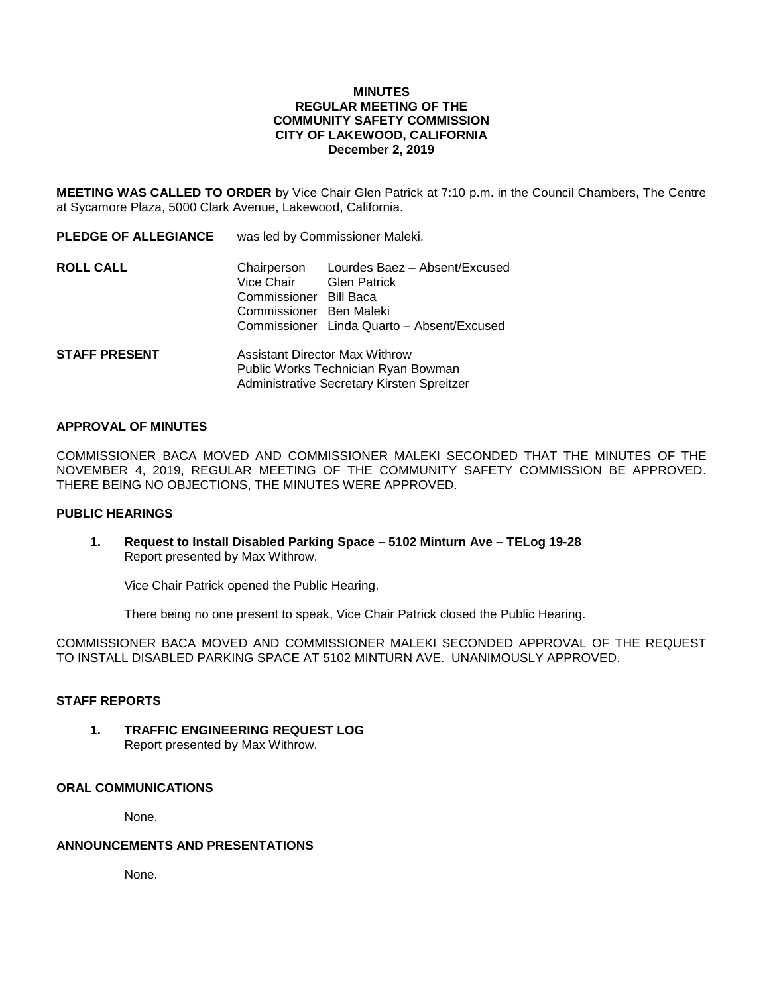#### **MINUTES REGULAR MEETING OF THE COMMUNITY SAFETY COMMISSION CITY OF LAKEWOOD, CALIFORNIA December 2, 2019**

**MEETING WAS CALLED TO ORDER** by Vice Chair Glen Patrick at 7:10 p.m. in the Council Chambers, The Centre at Sycamore Plaza, 5000 Clark Avenue, Lakewood, California.

| <b>PLEDGE OF ALLEGIANCE</b> | was led by Commissioner Maleki.                                                                                            |                                                                                                                 |
|-----------------------------|----------------------------------------------------------------------------------------------------------------------------|-----------------------------------------------------------------------------------------------------------------|
| <b>ROLL CALL</b>            | Chairperson<br>Vice Chair<br>Commissioner<br>Commissioner Ben Maleki                                                       | Lourdes Baez - Absent/Excused<br><b>Glen Patrick</b><br>Bill Baca<br>Commissioner Linda Quarto - Absent/Excused |
| <b>STAFF PRESENT</b>        | <b>Assistant Director Max Withrow</b><br>Public Works Technician Ryan Bowman<br>Administrative Secretary Kirsten Spreitzer |                                                                                                                 |

#### **APPROVAL OF MINUTES**

COMMISSIONER BACA MOVED AND COMMISSIONER MALEKI SECONDED THAT THE MINUTES OF THE NOVEMBER 4, 2019, REGULAR MEETING OF THE COMMUNITY SAFETY COMMISSION BE APPROVED. THERE BEING NO OBJECTIONS, THE MINUTES WERE APPROVED.

### **PUBLIC HEARINGS**

**1. Request to Install Disabled Parking Space – 5102 Minturn Ave – TELog 19-28** Report presented by Max Withrow.

Vice Chair Patrick opened the Public Hearing.

There being no one present to speak, Vice Chair Patrick closed the Public Hearing.

COMMISSIONER BACA MOVED AND COMMISSIONER MALEKI SECONDED APPROVAL OF THE REQUEST TO INSTALL DISABLED PARKING SPACE AT 5102 MINTURN AVE. UNANIMOUSLY APPROVED.

#### **STAFF REPORTS**

**1. TRAFFIC ENGINEERING REQUEST LOG** Report presented by Max Withrow.

# **ORAL COMMUNICATIONS**

None.

#### **ANNOUNCEMENTS AND PRESENTATIONS**

None.